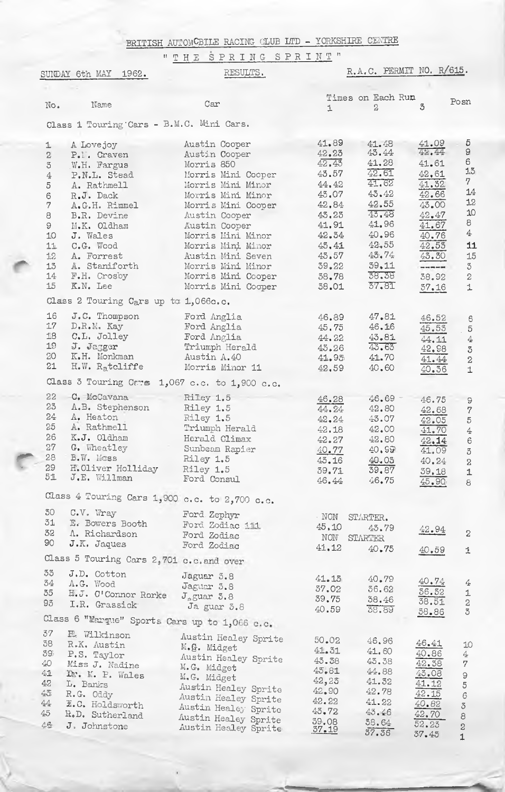BRITISH AUTOMCBILE RACING CLUB LTD - YORKSHIRE CENTRE

"THE SPRING SPRINT"

|                                                                                                                          | SUNDAY 6th MAY 1962.                          | RESULTS.                                      |                | R.A.C. PERMIT NO. R/615. |                |                               |
|--------------------------------------------------------------------------------------------------------------------------|-----------------------------------------------|-----------------------------------------------|----------------|--------------------------|----------------|-------------------------------|
|                                                                                                                          |                                               |                                               |                |                          |                |                               |
| No.                                                                                                                      | Name                                          | Car                                           |                | Times on Each Run        | 3              | Posn                          |
|                                                                                                                          |                                               |                                               | $\perp$        | 2                        |                |                               |
|                                                                                                                          | Class 1 Touring Cars - B.M.C. Mini Cars.      |                                               |                |                          |                |                               |
| $\perp$                                                                                                                  | A Lovejoy                                     | Austin Cooper                                 | 41.89          | 41.48                    | 41.09<br>42.44 | 5                             |
| $\mathbf 2$                                                                                                              | P.I. Craven                                   | Austin Cooper                                 | 42.23          | 43.44                    |                | 9<br>6                        |
| $\mathfrak{S}% _{M}\left( \mathfrak{S}\right)$                                                                           | W.H. Fargus                                   | Morris 850                                    | 42.45          | 41.28<br>42.61           | 41.61          | 13                            |
| $\!4\!$                                                                                                                  | P.N.L. Stead                                  | Morris Mini Cooper                            | 43.57          | 41.62                    | 42.61          | 7                             |
| 5                                                                                                                        | A. Rathmell                                   | Morris Mini Minor                             | 44.42<br>43.07 | 43.42                    | 41.32<br>42.66 | 14                            |
| $\mathsf{G}% _{\mathsf{G}}^{\mathsf{G}}(\mathcal{M}_{0})\cong\mathsf{G}_{\mathsf{G}}^{\mathsf{G}}(\mathcal{M}_{0})$<br>7 | R.J. Dack                                     | Morris Mini Minor                             | 42.84          | 42.55                    | 43.00          | 12                            |
| 8                                                                                                                        | A.G.H. Rimmel<br>B.R. Devine                  | Morris Mini Cooper<br>Austin Cooper           | 43.23          | 43.48                    | 42.47          | 10                            |
| 9                                                                                                                        | M.K. Oldham                                   | Austin Cooper                                 | 41.91          | 41.96                    | 41.67          | 8                             |
| 10                                                                                                                       | J. Wales                                      | Morris Mini Minor                             | 42.34          | 40.96                    | 40.76          | $\overline{4}$                |
| 11                                                                                                                       | C.G. Wood                                     | Morris Mini Minor                             | 45.41          | 42.55                    | 42.55          | 11                            |
| 12                                                                                                                       | A. Forrest                                    | Austin Mini Seven                             | 45.57          | 45.74                    | 43.30          | 15                            |
| 13                                                                                                                       | A. Staniforth                                 | Morris Mini Minor                             | 39,22          | 59.11                    |                | $\mathbb S$                   |
| 14                                                                                                                       | F.H. Crosby                                   | Morris Mini Cooper                            | 38.78          | 38.38                    | 38.92          | $\bar{2}$                     |
| 15                                                                                                                       | K.N. Lee                                      | Morris Mini Cooper                            | 38.01          | 37.81                    | 37.16          | $\perp$                       |
|                                                                                                                          | Class 2 Touring Cars up to 1,066c.c.          |                                               |                |                          |                |                               |
| 16                                                                                                                       | J.C. Thompson                                 | Ford Anglia                                   | 46.89          | 47.81                    | 46.52          |                               |
| 17                                                                                                                       | $D$ . $R$ . $M$ . Kay                         | Ford Anglia                                   | 45,75          | 46.16                    | 45.53          | $\mathbf 6$<br>$\overline{5}$ |
| 18                                                                                                                       | C.L. Jolley                                   | Ford Anglia                                   | 44.22          | 43.81                    | 44.11          | $\frac{A}{4}$                 |
| 19                                                                                                                       | J. Jagger                                     | Triumph Herald                                | 43.26          | 43.63                    | 42.98          | $\mho$                        |
| 20                                                                                                                       | K.H. Monkman                                  | Austin A.40                                   | 41.95          | 41.70                    | 41.44          | $\bar{2}$                     |
| 21                                                                                                                       | $H.W. R_4$ tcliffe                            | Morris Minor 11                               | 42.59          | 40.60                    | 40.36          | $\mathbf{1}$                  |
|                                                                                                                          |                                               | Class 3 Touring Cars 1,067 c.c. to 1,900 c.c. |                |                          |                |                               |
| 22                                                                                                                       | C. McCavana                                   | Rilley 1.5                                    | 46.28          | $46,69 -$                | 46.75          |                               |
| 23                                                                                                                       | A.B. Stephenson                               | Riley 1.5                                     | 44.24          | 42.80                    | 42.68          | 9<br>$\overline{7}$           |
| 24                                                                                                                       | A. Heaton                                     | Riley 1.5                                     | 42.24          | 43.07                    | 42.05          | $\sqrt{5}$                    |
| 25                                                                                                                       | A. Rathmell                                   | Triumph Herald                                | 42.18          | 42.00                    | 41.70          | $\overline{4}$                |
| 26                                                                                                                       | K.J. Oldham                                   | Herald Climax                                 | 42.27          | 42.80                    | 42.14          | $\epsilon$                    |
| 27                                                                                                                       | G. Wheatley                                   | Sunbeam Rapier                                | 40.77          | 40.99                    | 41.09          | $\mathbf 3$                   |
| 28                                                                                                                       | B.W. Mcss                                     | Riley 1.5                                     | 43.16          | 40.03                    | 40.24          | $\mathbf{2}$                  |
| 29                                                                                                                       | H.Oliver Holliday                             | Riley 1.5                                     | 39.71          | 39.87                    | 39.18          | 1                             |
| 51                                                                                                                       | J.E. Willman                                  | Ford Consul                                   | 46.44          | 46.75                    | 45,90          | 8                             |
|                                                                                                                          |                                               | Class 4 Touring Cars 1,900 c.c. to 2,700 c.c. |                |                          |                |                               |
| 30                                                                                                                       | C.V. Wray                                     | Ford Zephyr                                   | $\cdot$ NON    | STARTER.                 |                |                               |
| 51                                                                                                                       | E. Bowers Booth                               | Ford Zodiac iii                               | 45,10          | 43.79                    | 42.94          |                               |
| 32                                                                                                                       | A. Richardson                                 | Ford Zodiac                                   | NON            | STARTER                  |                | $\mathbf{2}$                  |
| 90                                                                                                                       | J.K. Jaques                                   | Ford Zodiac                                   | 41.12          | 40.75                    | 40.59          | $\mathbf 1$                   |
|                                                                                                                          | Class 5 Touring Cars 2,701 c.c.and over       |                                               |                |                          |                |                               |
| 33                                                                                                                       | J.D. Cotton                                   | Jaguar 3.8                                    | 41.15          | 40.79                    |                |                               |
| 34                                                                                                                       | A.G. Wood                                     | Jaguar 5.8                                    | 37.02          | 36.62                    | 40.74          | 4                             |
| 35                                                                                                                       | H.J. O'Connor Rorke                           | $J$ <sub>a</sub> guar $3.8$                   | 39,75          | 38.46                    | 36.32          | $\perp$                       |
| 93                                                                                                                       | I.R. Grassick                                 | Ja guar 3.8                                   | 40.59          | 38.89                    | 38.51<br>38.86 | $\,2$<br>5                    |
|                                                                                                                          | Class 6 "Margue" Sports Cars up to 1,066 c.c. |                                               |                |                          |                |                               |
| 37                                                                                                                       | <b>E.</b> Wilkinson                           | Austin Healey Sprite                          | 50.02          |                          |                |                               |
| 38                                                                                                                       | R.K. Austin                                   | M.G. Midget                                   | 41.31          | 46.96<br>41.60           | 46.41          | 10                            |
| 39                                                                                                                       | P.S. Taylor                                   | Austin Healey Sprite                          | 43.38          | 43.38                    | 40.86          | 4                             |
| 40                                                                                                                       | Miss J. Nadine                                | M.G. Midget                                   | 45.81          | 44.88                    | 42.38          | 7                             |
| 亞<br>42                                                                                                                  | Dr. M. P. Wales                               | M.G. Midget                                   | 42,25          | 41.32                    | 43.08<br>41.12 | $\odot$                       |
| $45$                                                                                                                     | L. Banks<br>R.G. Oddy                         | Austin Healey Sprite                          | 42.90          | 42.78                    | 42.15          | $\,$ 5 $\,$                   |
| $44\,$                                                                                                                   | E.C. Holdsworth                               | Austin Healey Sprite                          | 42.22          | 41.22                    | 40.82          | $\epsilon$                    |
| 45                                                                                                                       | R.D. Sutherland                               | Austin Healey Sprite                          | 43.72          | 43.46                    | 42.70          | $\mathcal S$<br>8             |
| 46                                                                                                                       | J. Johnstone                                  | Austin Healey Sprite                          | 39.08          | 38.64                    | 52.23          | $\overline{c}$                |
|                                                                                                                          |                                               | Austin Healey Sprite                          | 37.19          | 37.36                    | 37.45          | $\overline{1}$                |
|                                                                                                                          |                                               |                                               |                |                          |                |                               |